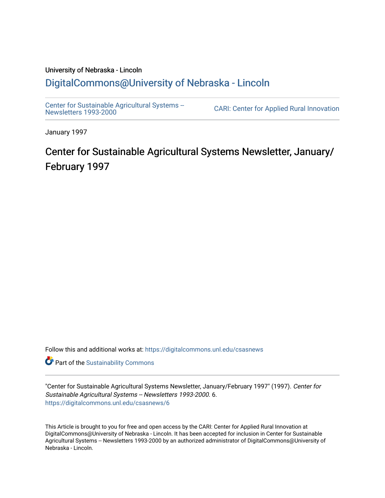# University of Nebraska - Lincoln [DigitalCommons@University of Nebraska - Lincoln](https://digitalcommons.unl.edu/)

[Center for Sustainable Agricultural Systems --](https://digitalcommons.unl.edu/csasnews)<br>Newsletters 1993-2000

CARI: Center for Applied Rural Innovation

January 1997

# Center for Sustainable Agricultural Systems Newsletter, January/ February 1997

Follow this and additional works at: [https://digitalcommons.unl.edu/csasnews](https://digitalcommons.unl.edu/csasnews?utm_source=digitalcommons.unl.edu%2Fcsasnews%2F6&utm_medium=PDF&utm_campaign=PDFCoverPages) 

**Part of the [Sustainability Commons](http://network.bepress.com/hgg/discipline/1031?utm_source=digitalcommons.unl.edu%2Fcsasnews%2F6&utm_medium=PDF&utm_campaign=PDFCoverPages)** 

"Center for Sustainable Agricultural Systems Newsletter, January/February 1997" (1997). Center for Sustainable Agricultural Systems -- Newsletters 1993-2000. 6. [https://digitalcommons.unl.edu/csasnews/6](https://digitalcommons.unl.edu/csasnews/6?utm_source=digitalcommons.unl.edu%2Fcsasnews%2F6&utm_medium=PDF&utm_campaign=PDFCoverPages) 

This Article is brought to you for free and open access by the CARI: Center for Applied Rural Innovation at DigitalCommons@University of Nebraska - Lincoln. It has been accepted for inclusion in Center for Sustainable Agricultural Systems -- Newsletters 1993-2000 by an authorized administrator of DigitalCommons@University of Nebraska - Lincoln.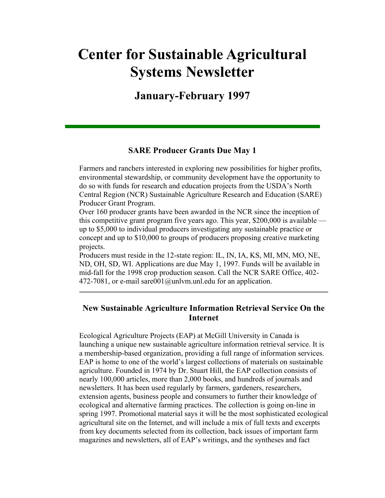# **Center for Sustainable Agricultural Systems Newsletter**

**January-February 1997** 

#### **SARE Producer Grants Due May 1**

Farmers and ranchers interested in exploring new possibilities for higher profits, environmental stewardship, or community development have the opportunity to do so with funds for research and education projects from the USDA's North Central Region (NCR) Sustainable Agriculture Research and Education (SARE) Producer Grant Program.

Over 160 producer grants have been awarded in the NCR since the inception of this competitive grant program five years ago. This year, \$200,000 is available up to \$5,000 to individual producers investigating any sustainable practice or concept and up to \$10,000 to groups of producers proposing creative marketing projects.

Producers must reside in the 12-state region: IL, IN, IA, KS, MI, MN, MO, NE, ND, OH, SD, WI. Applications are due May 1, 1997. Funds will be available in mid-fall for the 1998 crop production season. Call the NCR SARE Office, 402- 472-7081, or e-mail sare  $001$  @unlym.unl.edu for an application.

### **New Sustainable Agriculture Information Retrieval Service On the Internet**

Ecological Agriculture Projects (EAP) at McGill University in Canada is launching a unique new sustainable agriculture information retrieval service. It is a membership-based organization, providing a full range of information services. EAP is home to one of the world's largest collections of materials on sustainable agriculture. Founded in 1974 by Dr. Stuart Hill, the EAP collection consists of nearly 100,000 articles, more than 2,000 books, and hundreds of journals and newsletters. It has been used regularly by farmers, gardeners, researchers, extension agents, business people and consumers to further their knowledge of ecological and alternative farming practices. The collection is going on-line in spring 1997. Promotional material says it will be the most sophisticated ecological agricultural site on the Internet, and will include a mix of full texts and excerpts from key documents selected from its collection, back issues of important farm magazines and newsletters, all of EAP's writings, and the syntheses and fact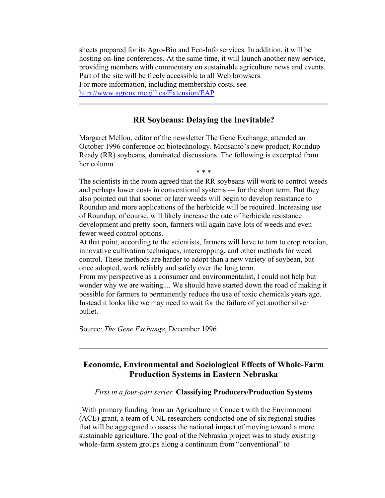sheets prepared for its Agro-Bio and Eco-Info services. In addition, it will be hosting on-line conferences. At the same time, it will launch another new service, providing members with commentary on sustainable agriculture news and events. Part of the site will be freely accessible to all Web browsers. For more information, including membership costs, see http://www.agrenv.mcgill.ca/Extension/EAP

#### **RR Soybeans: Delaying the Inevitable?**

Margaret Mellon, editor of the newsletter The Gene Exchange, attended an October 1996 conference on biotechnology. Monsanto's new product, Roundup Ready (RR) soybeans, dominated discussions. The following is excerpted from her column. \* \* \*

The scientists in the room agreed that the RR soybeans will work to control weeds and perhaps lower costs in conventional systems — for the short term. But they also pointed out that sooner or later weeds will begin to develop resistance to Roundup and more applications of the herbicide will be required. Increasing use of Roundup, of course, will likely increase the rate of herbicide resistance development and pretty soon, farmers will again have lots of weeds and even fewer weed control options.

At that point, according to the scientists, farmers will have to turn to crop rotation, innovative cultivation techniques, intercropping, and other methods for weed control. These methods are harder to adopt than a new variety of soybean, but once adopted, work reliably and safely over the long term.

From my perspective as a consumer and environmentalist, I could not help but wonder why we are waiting.... We should have started down the road of making it possible for farmers to permanently reduce the use of toxic chemicals years ago. Instead it looks like we may need to wait for the failure of yet another silver bullet.

Source: *The Gene Exchange*, December 1996

# **Economic, Environmental and Sociological Effects of Whole-Farm Production Systems in Eastern Nebraska**

#### *First in a four-part series*: **Classifying Producers/Production Systems**

[With primary funding from an Agriculture in Concert with the Environment (ACE) grant, a team of UNL researchers conducted one of six regional studies that will be aggregated to assess the national impact of moving toward a more sustainable agriculture. The goal of the Nebraska project was to study existing whole-farm system groups along a continuum from "conventional" to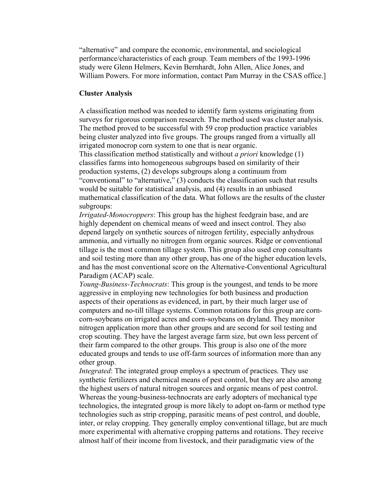"alternative" and compare the economic, environmental, and sociological performance/characteristics of each group. Team members of the 1993-1996 study were Glenn Helmers, Kevin Bernhardt, John Allen, Alice Jones, and William Powers. For more information, contact Pam Murray in the CSAS office.]

#### **Cluster Analysis**

A classification method was needed to identify farm systems originating from surveys for rigorous comparison research. The method used was cluster analysis. The method proved to be successful with 59 crop production practice variables being cluster analyzed into five groups. The groups ranged from a virtually all irrigated monocrop corn system to one that is near organic.

This classification method statistically and without *a priori* knowledge (1) classifies farms into homogeneous subgroups based on similarity of their production systems, (2) develops subgroups along a continuum from "conventional" to "alternative," (3) conducts the classification such that results would be suitable for statistical analysis, and (4) results in an unbiased mathematical classification of the data. What follows are the results of the cluster subgroups:

*Irrigated-Monocroppers*: This group has the highest feedgrain base, and are highly dependent on chemical means of weed and insect control. They also depend largely on synthetic sources of nitrogen fertility, especially anhydrous ammonia, and virtually no nitrogen from organic sources. Ridge or conventional tillage is the most common tillage system. This group also used crop consultants and soil testing more than any other group, has one of the higher education levels, and has the most conventional score on the Alternative-Conventional Agricultural Paradigm (ACAP) scale.

*Young-Business-Technocrats*: This group is the youngest, and tends to be more aggressive in employing new technologies for both business and production aspects of their operations as evidenced, in part, by their much larger use of computers and no-till tillage systems. Common rotations for this group are corncorn-soybeans on irrigated acres and corn-soybeans on dryland. They monitor nitrogen application more than other groups and are second for soil testing and crop scouting. They have the largest average farm size, but own less percent of their farm compared to the other groups. This group is also one of the more educated groups and tends to use off-farm sources of information more than any other group.

*Integrated*: The integrated group employs a spectrum of practices. They use synthetic fertilizers and chemical means of pest control, but they are also among the highest users of natural nitrogen sources and organic means of pest control. Whereas the young-business-technocrats are early adopters of mechanical type technologics, the integrated group is more likely to adopt on-farm or method type technologies such as strip cropping, parasitic means of pest control, and double, inter, or relay cropping. They generally employ conventional tillage, but are much more experimental with alternative cropping patterns and rotations. They receive almost half of their income from livestock, and their paradigmatic view of the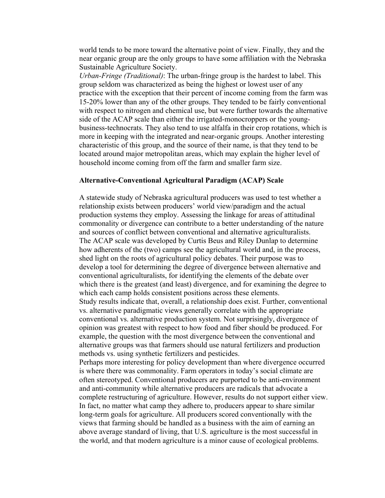world tends to be more toward the alternative point of view. Finally, they and the near organic group are the only groups to have some affiliation with the Nebraska Sustainable Agriculture Society.

*Urban-Fringe (Traditional)*: The urban-fringe group is the hardest to label. This group seldom was characterized as being the highest or lowest user of any practice with the exception that their percent of income coming from the farm was 15-20% lower than any of the other groups. They tended to be fairly conventional with respect to nitrogen and chemical use, but were further towards the alternative side of the ACAP scale than either the irrigated-monocroppers or the youngbusiness-technocrats. They also tend to use alfalfa in their crop rotations, which is more in keeping with the integrated and near-organic groups. Another interesting characteristic of this group, and the source of their name, is that they tend to be located around major metropolitan areas, which may explain the higher level of household income coming from off the farm and smaller farm size.

#### **Alternative-Conventional Agricultural Paradigm (ACAP) Scale**

A statewide study of Nebraska agricultural producers was used to test whether a relationship exists between producers' world view/paradigm and the actual production systems they employ. Assessing the linkage for areas of attitudinal commonality or divergence can contribute to a better understanding of the nature and sources of conflict between conventional and alternative agriculturalists. The ACAP scale was developed by Curtis Beus and Riley Dunlap to determine how adherents of the (two) camps see the agricultural world and, in the process, shed light on the roots of agricultural policy debates. Their purpose was to develop a tool for determining the degree of divergence between alternative and conventional agriculturalists, for identifying the elements of the debate over which there is the greatest (and least) divergence, and for examining the degree to which each camp holds consistent positions across these elements. Study results indicate that, overall, a relationship does exist. Further, conventional vs. alternative paradigmatic views generally correlate with the appropriate conventional vs. alternative production system. Not surprisingly, divergence of opinion was greatest with respect to how food and fiber should be produced. For example, the question with the most divergence between the conventional and alternative groups was that farmers should use natural fertilizers and production methods vs. using synthetic fertilizers and pesticides.

Perhaps more interesting for policy development than where divergence occurred is where there was commonality. Farm operators in today's social climate are often stereotyped. Conventional producers are purported to be anti-environment and anti-community while alternative producers are radicals that advocate a complete restructuring of agriculture. However, results do not support either view. In fact, no matter what camp they adhere to, producers appear to share similar long-term goals for agriculture. All producers scored conventionally with the views that farming should be handled as a business with the aim of earning an above average standard of living, that U.S. agriculture is the most successful in the world, and that modern agriculture is a minor cause of ecological problems.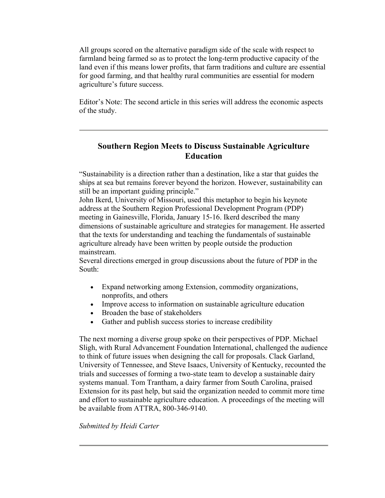All groups scored on the alternative paradigm side of the scale with respect to farmland being farmed so as to protect the long-term productive capacity of the land even if this means lower profits, that farm traditions and culture are essential for good farming, and that healthy rural communities are essential for modern agriculture's future success.

Editor's Note: The second article in this series will address the economic aspects of the study.

# **Southern Region Meets to Discuss Sustainable Agriculture Education**

"Sustainability is a direction rather than a destination, like a star that guides the ships at sea but remains forever beyond the horizon. However, sustainability can still be an important guiding principle."

John Ikerd, University of Missouri, used this metaphor to begin his keynote address at the Southern Region Professional Development Program (PDP) meeting in Gainesville, Florida, January 15-16. Ikerd described the many dimensions of sustainable agriculture and strategies for management. He asserted that the texts for understanding and teaching the fundamentals of sustainable agriculture already have been written by people outside the production mainstream.

Several directions emerged in group discussions about the future of PDP in the South:

- Expand networking among Extension, commodity organizations, nonprofits, and others
- Improve access to information on sustainable agriculture education
- Broaden the base of stakeholders
- Gather and publish success stories to increase credibility

The next morning a diverse group spoke on their perspectives of PDP. Michael Sligh, with Rural Advancement Foundation International, challenged the audience to think of future issues when designing the call for proposals. Clack Garland, University of Tennessee, and Steve Isaacs, University of Kentucky, recounted the trials and successes of forming a two-state team to develop a sustainable dairy systems manual. Tom Trantham, a dairy farmer from South Carolina, praised Extension for its past help, but said the organization needed to commit more time and effort to sustainable agriculture education. A proceedings of the meeting will be available from ATTRA, 800-346-9140.

#### *Submitted by Heidi Carter*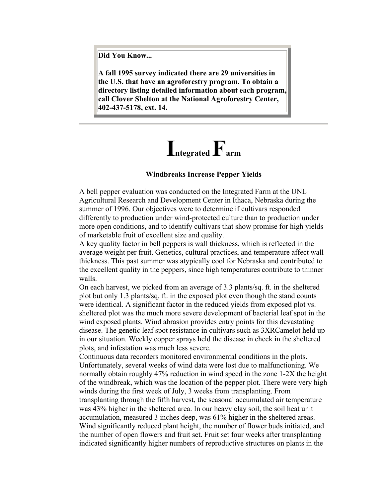**Did You Know...**

**A fall 1995 survey indicated there are 29 universities in the U.S. that have an agroforestry program. To obtain a directory listing detailed information about each program, call Clover Shelton at the National Agroforestry Center, 402-437-5178, ext. 14.** 

# **Integrated Farm**

#### **Windbreaks Increase Pepper Yields**

A bell pepper evaluation was conducted on the Integrated Farm at the UNL Agricultural Research and Development Center in Ithaca, Nebraska during the summer of 1996. Our objectives were to determine if cultivars responded differently to production under wind-protected culture than to production under more open conditions, and to identify cultivars that show promise for high yields of marketable fruit of excellent size and quality.

A key quality factor in bell peppers is wall thickness, which is reflected in the average weight per fruit. Genetics, cultural practices, and temperature affect wall thickness. This past summer was atypically cool for Nebraska and contributed to the excellent quality in the peppers, since high temperatures contribute to thinner walls.

On each harvest, we picked from an average of 3.3 plants/sq. ft. in the sheltered plot but only 1.3 plants/sq. ft. in the exposed plot even though the stand counts were identical. A significant factor in the reduced yields from exposed plot vs. sheltered plot was the much more severe development of bacterial leaf spot in the wind exposed plants. Wind abrasion provides entry points for this devastating disease. The genetic leaf spot resistance in cultivars such as 3XRCamelot held up in our situation. Weekly copper sprays held the disease in check in the sheltered plots, and infestation was much less severe.

Continuous data recorders monitored environmental conditions in the plots. Unfortunately, several weeks of wind data were lost due to malfunctioning. We normally obtain roughly 47% reduction in wind speed in the zone 1-2X the height of the windbreak, which was the location of the pepper plot. There were very high winds during the first week of July, 3 weeks from transplanting. From transplanting through the fifth harvest, the seasonal accumulated air temperature was 43% higher in the sheltered area. In our heavy clay soil, the soil heat unit accumulation, measured 3 inches deep, was 61% higher in the sheltered areas. Wind significantly reduced plant height, the number of flower buds initiated, and the number of open flowers and fruit set. Fruit set four weeks after transplanting indicated significantly higher numbers of reproductive structures on plants in the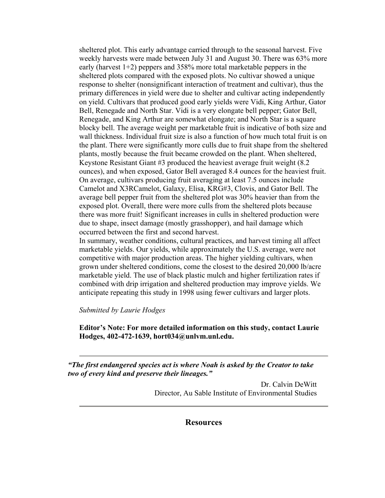sheltered plot. This early advantage carried through to the seasonal harvest. Five weekly harvests were made between July 31 and August 30. There was 63% more early (harvest 1+2) peppers and 358% more total marketable peppers in the sheltered plots compared with the exposed plots. No cultivar showed a unique response to shelter (nonsignificant interaction of treatment and cultivar), thus the primary differences in yield were due to shelter and cultivar acting independently on yield. Cultivars that produced good early yields were Vidi, King Arthur, Gator Bell, Renegade and North Star. Vidi is a very elongate bell pepper; Gator Bell, Renegade, and King Arthur are somewhat elongate; and North Star is a square blocky bell. The average weight per marketable fruit is indicative of both size and wall thickness. Individual fruit size is also a function of how much total fruit is on the plant. There were significantly more culls due to fruit shape from the sheltered plants, mostly because the fruit became crowded on the plant. When sheltered, Keystone Resistant Giant #3 produced the heaviest average fruit weight (8.2 ounces), and when exposed, Gator Bell averaged 8.4 ounces for the heaviest fruit. On average, cultivars producing fruit averaging at least 7.5 ounces include Camelot and X3RCamelot, Galaxy, Elisa, KRG#3, Clovis, and Gator Bell. The average bell pepper fruit from the sheltered plot was 30% heavier than from the exposed plot. Overall, there were more culls from the sheltered plots because there was more fruit! Significant increases in culls in sheltered production were due to shape, insect damage (mostly grasshopper), and hail damage which occurred between the first and second harvest.

In summary, weather conditions, cultural practices, and harvest timing all affect marketable yields. Our yields, while approximately the U.S. average, were not competitive with major production areas. The higher yielding cultivars, when grown under sheltered conditions, come the closest to the desired 20,000 lb/acre marketable yield. The use of black plastic mulch and higher fertilization rates if combined with drip irrigation and sheltered production may improve yields. We anticipate repeating this study in 1998 using fewer cultivars and larger plots.

*Submitted by Laurie Hodges*

**Editor's Note: For more detailed information on this study, contact Laurie Hodges, 402-472-1639, hort034@unlvm.unl.edu.**

*"The first endangered species act is where Noah is asked by the Creator to take two of every kind and preserve their lineages."* 

> Dr. Calvin DeWitt Director, Au Sable Institute of Environmental Studies

> > **Resources**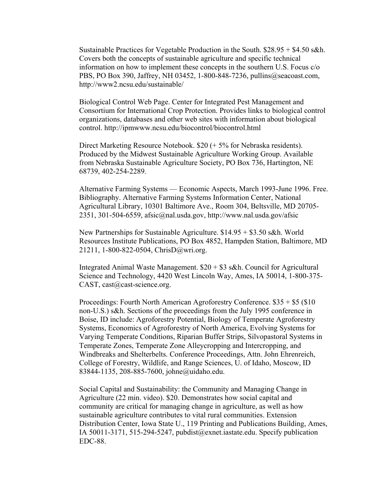Sustainable Practices for Vegetable Production in the South. \$28.95 + \$4.50 s&h. Covers both the concepts of sustainable agriculture and specific technical information on how to implement these concepts in the southern U.S. Focus c/o PBS, PO Box 390, Jaffrey, NH 03452, 1-800-848-7236, pullins@seacoast.com, http://www2.ncsu.edu/sustainable/

Biological Control Web Page. Center for Integrated Pest Management and Consortium for International Crop Protection. Provides links to biological control organizations, databases and other web sites with information about biological control. http://ipmwww.ncsu.edu/biocontrol/biocontrol.html

Direct Marketing Resource Notebook. \$20 (+ 5% for Nebraska residents). Produced by the Midwest Sustainable Agriculture Working Group. Available from Nebraska Sustainable Agriculture Society, PO Box 736, Hartington, NE 68739, 402-254-2289.

Alternative Farming Systems — Economic Aspects, March 1993-June 1996. Free. Bibliography. Alternative Farming Systems Information Center, National Agricultural Library, 10301 Baltimore Ave., Room 304, Beltsville, MD 20705- 2351, 301-504-6559, afsic@nal.usda.gov, http://www.nal.usda.gov/afsic

New Partnerships for Sustainable Agriculture. \$14.95 + \$3.50 s&h. World Resources Institute Publications, PO Box 4852, Hampden Station, Baltimore, MD 21211, 1-800-822-0504, ChrisD@wri.org.

Integrated Animal Waste Management. \$20 + \$3 s&h. Council for Agricultural Science and Technology, 4420 West Lincoln Way, Ames, IA 50014, 1-800-375- CAST, cast@cast-science.org.

Proceedings: Fourth North American Agroforestry Conference. \$35 + \$5 (\$10 non-U.S.) s&h. Sections of the proceedings from the July 1995 conference in Boise, ID include: Agroforestry Potential, Biology of Temperate Agroforestry Systems, Economics of Agroforestry of North America, Evolving Systems for Varying Temperate Conditions, Riparian Buffer Strips, Silvopastoral Systems in Temperate Zones, Temperate Zone Alleycropping and Intercropping, and Windbreaks and Shelterbelts. Conference Proceedings, Attn. John Ehrenreich, College of Forestry, Wildlife, and Range Sciences, U. of Idaho, Moscow, ID 83844-1135, 208-885-7600, johne@uidaho.edu.

Social Capital and Sustainability: the Community and Managing Change in Agriculture (22 min. video). \$20. Demonstrates how social capital and community are critical for managing change in agriculture, as well as how sustainable agriculture contributes to vital rural communities. Extension Distribution Center, Iowa State U., 119 Printing and Publications Building, Ames, IA 50011-3171, 515-294-5247, pubdist@exnet.iastate.edu. Specify publication EDC-88.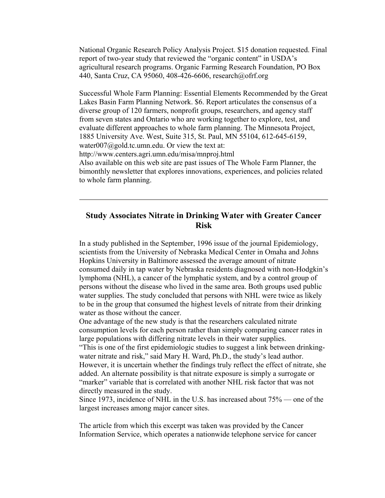National Organic Research Policy Analysis Project. \$15 donation requested. Final report of two-year study that reviewed the "organic content" in USDA's agricultural research programs. Organic Farming Research Foundation, PO Box 440, Santa Cruz, CA 95060, 408-426-6606, research@ofrf.org

Successful Whole Farm Planning: Essential Elements Recommended by the Great Lakes Basin Farm Planning Network. \$6. Report articulates the consensus of a diverse group of 120 farmers, nonprofit groups, researchers, and agency staff from seven states and Ontario who are working together to explore, test, and evaluate different approaches to whole farm planning. The Minnesota Project, 1885 University Ave. West, Suite 315, St. Paul, MN 55104, 612-645-6159, water007@gold.tc.umn.edu. Or view the text at: http://www.centers.agri.umn.edu/misa/mnproj.html Also available on this web site are past issues of The Whole Farm Planner, the bimonthly newsletter that explores innovations, experiences, and policies related to whole farm planning.

### **Study Associates Nitrate in Drinking Water with Greater Cancer Risk**

In a study published in the September, 1996 issue of the journal Epidemiology, scientists from the University of Nebraska Medical Center in Omaha and Johns Hopkins University in Baltimore assessed the average amount of nitrate consumed daily in tap water by Nebraska residents diagnosed with non-Hodgkin's lymphoma (NHL), a cancer of the lymphatic system, and by a control group of persons without the disease who lived in the same area. Both groups used public water supplies. The study concluded that persons with NHL were twice as likely to be in the group that consumed the highest levels of nitrate from their drinking water as those without the cancer.

One advantage of the new study is that the researchers calculated nitrate consumption levels for each person rather than simply comparing cancer rates in large populations with differing nitrate levels in their water supplies.

"This is one of the first epidemiologic studies to suggest a link between drinkingwater nitrate and risk," said Mary H. Ward, Ph.D., the study's lead author. However, it is uncertain whether the findings truly reflect the effect of nitrate, she added. An alternate possibility is that nitrate exposure is simply a surrogate or "marker" variable that is correlated with another NHL risk factor that was not directly measured in the study.

Since 1973, incidence of NHL in the U.S. has increased about 75% — one of the largest increases among major cancer sites.

The article from which this excerpt was taken was provided by the Cancer Information Service, which operates a nationwide telephone service for cancer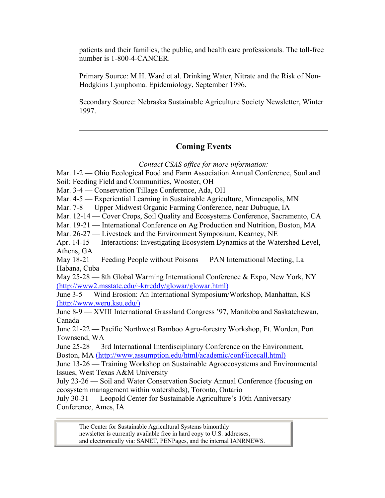patients and their families, the public, and health care professionals. The toll-free number is 1-800-4-CANCER.

Primary Source: M.H. Ward et al. Drinking Water, Nitrate and the Risk of Non-Hodgkins Lymphoma. Epidemiology, September 1996.

Secondary Source: Nebraska Sustainable Agriculture Society Newsletter, Winter 1997.

# **Coming Events**

*Contact CSAS office for more information:* 

Mar. 1-2 — Ohio Ecological Food and Farm Association Annual Conference, Soul and

Soil: Feeding Field and Communities, Wooster, OH

Mar. 3-4 — Conservation Tillage Conference, Ada, OH

Mar. 4-5 — Experiential Learning in Sustainable Agriculture, Minneapolis, MN

Mar. 7-8 — Upper Midwest Organic Farming Conference, near Dubuque, IA

Mar. 12-14 — Cover Crops, Soil Quality and Ecosystems Conference, Sacramento, CA

Mar. 19-21 — International Conference on Ag Production and Nutrition, Boston, MA

Mar. 26-27 — Livestock and the Environment Symposium, Kearney, NE

Apr. 14-15 — Interactions: Investigating Ecosystem Dynamics at the Watershed Level, Athens, GA

May 18-21 — Feeding People without Poisons — PAN International Meeting, La Habana, Cuba

May 25-28 — 8th Global Warming International Conference & Expo, New York, NY (http://www2.msstate.edu/~krreddy/glowar/glowar.html)

June 3-5 — Wind Erosion: An International Symposium/Workshop, Manhattan, KS (http://www.weru.ksu.edu/)

June 8-9 — XVIII International Grassland Congress '97, Manitoba and Saskatchewan, Canada

June 21-22 — Pacific Northwest Bamboo Agro-forestry Workshop, Ft. Worden, Port Townsend, WA

June 25-28 — 3rd International Interdisciplinary Conference on the Environment, Boston, MA (http://www.assumption.edu/html/academic/conf/iicecall.html)

June 13-26 — Training Workshop on Sustainable Agroecosystems and Environmental Issues, West Texas A&M University

July 23-26 — Soil and Water Conservation Society Annual Conference (focusing on ecosystem management within watersheds), Toronto, Ontario

July 30-31 — Leopold Center for Sustainable Agriculture's 10th Anniversary Conference, Ames, IA

The Center for Sustainable Agricultural Systems bimonthly newsletter is currently available free in hard copy to U.S. addresses, and electronically via: SANET, PENPages, and the internal IANRNEWS.